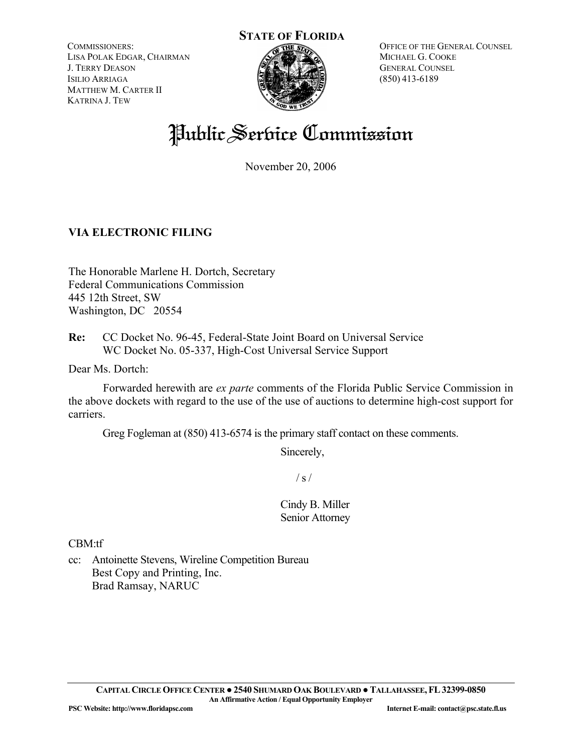COMMISSIONERS: LISA POLAK EDGAR, CHAIRMAN J. TERRY DEASON ISILIO ARRIAGA MATTHEW M. CARTER II KATRINA J. TEW



OFFICE OF THE GENERAL COUNSEL MICHAEL G. COOKE GENERAL COUNSEL (850) 413-6189

# Public Service Commission

November 20, 2006

### **VIA ELECTRONIC FILING**

The Honorable Marlene H. Dortch, Secretary Federal Communications Commission 445 12th Street, SW Washington, DC 20554

**Re:** CC Docket No. 96-45, Federal-State Joint Board on Universal Service WC Docket No. 05-337, High-Cost Universal Service Support

Dear Ms. Dortch:

 Forwarded herewith are *ex parte* comments of the Florida Public Service Commission in the above dockets with regard to the use of the use of auctions to determine high-cost support for carriers.

Greg Fogleman at (850) 413-6574 is the primary staff contact on these comments.

Sincerely,

 $/ s /$ 

Cindy B. Miller Senior Attorney

CBM:tf

cc: Antoinette Stevens, Wireline Competition Bureau Best Copy and Printing, Inc. Brad Ramsay, NARUC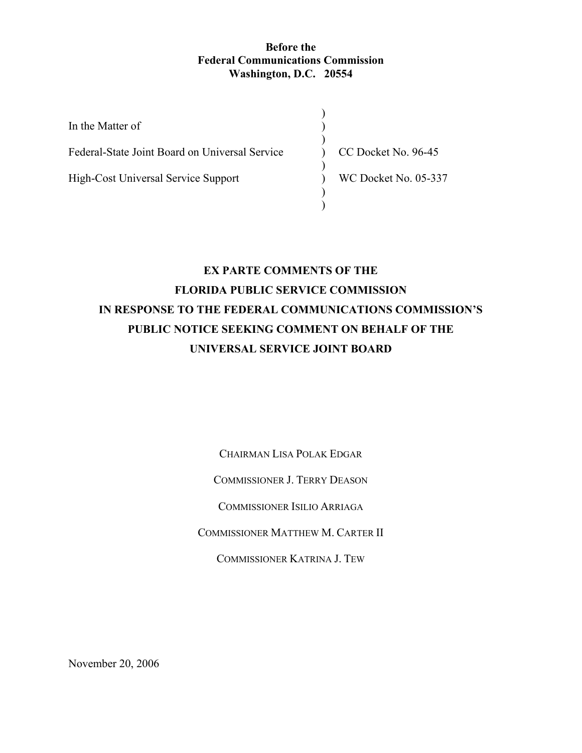#### **Before the Federal Communications Commission Washington, D.C. 20554**

| In the Matter of                               |                      |
|------------------------------------------------|----------------------|
| Federal-State Joint Board on Universal Service | CC Docket No. 96-45  |
| High-Cost Universal Service Support            | WC Docket No. 05-337 |
|                                                |                      |

## **EX PARTE COMMENTS OF THE FLORIDA PUBLIC SERVICE COMMISSION IN RESPONSE TO THE FEDERAL COMMUNICATIONS COMMISSION'S PUBLIC NOTICE SEEKING COMMENT ON BEHALF OF THE UNIVERSAL SERVICE JOINT BOARD**

CHAIRMAN LISA POLAK EDGAR

COMMISSIONER J. TERRY DEASON

COMMISSIONER ISILIO ARRIAGA

COMMISSIONER MATTHEW M. CARTER II

COMMISSIONER KATRINA J. TEW

November 20, 2006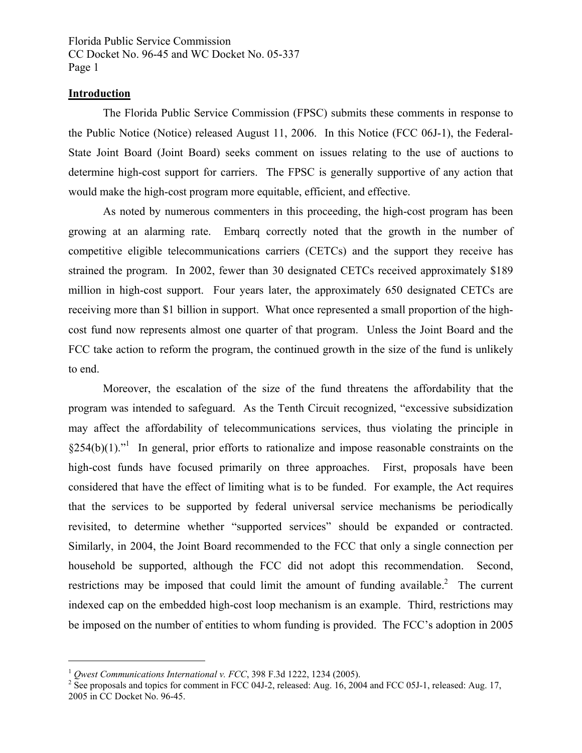Florida Public Service Commission CC Docket No. 96-45 and WC Docket No. 05-337 Page 1

#### **Introduction**

1

 The Florida Public Service Commission (FPSC) submits these comments in response to the Public Notice (Notice) released August 11, 2006. In this Notice (FCC 06J-1), the Federal-State Joint Board (Joint Board) seeks comment on issues relating to the use of auctions to determine high-cost support for carriers. The FPSC is generally supportive of any action that would make the high-cost program more equitable, efficient, and effective.

 As noted by numerous commenters in this proceeding, the high-cost program has been growing at an alarming rate. Embarq correctly noted that the growth in the number of competitive eligible telecommunications carriers (CETCs) and the support they receive has strained the program. In 2002, fewer than 30 designated CETCs received approximately \$189 million in high-cost support. Four years later, the approximately 650 designated CETCs are receiving more than \$1 billion in support. What once represented a small proportion of the highcost fund now represents almost one quarter of that program. Unless the Joint Board and the FCC take action to reform the program, the continued growth in the size of the fund is unlikely to end.

 Moreover, the escalation of the size of the fund threatens the affordability that the program was intended to safeguard. As the Tenth Circuit recognized, "excessive subsidization may affect the affordability of telecommunications services, thus violating the principle in  $§254(b)(1)$ .<sup>"1</sup> In general, prior efforts to rationalize and impose reasonable constraints on the high-cost funds have focused primarily on three approaches. First, proposals have been considered that have the effect of limiting what is to be funded. For example, the Act requires that the services to be supported by federal universal service mechanisms be periodically revisited, to determine whether "supported services" should be expanded or contracted. Similarly, in 2004, the Joint Board recommended to the FCC that only a single connection per household be supported, although the FCC did not adopt this recommendation. Second, restrictions may be imposed that could limit the amount of funding available.<sup>2</sup> The current indexed cap on the embedded high-cost loop mechanism is an example. Third, restrictions may be imposed on the number of entities to whom funding is provided. The FCC's adoption in 2005

 $1$  *Owest Communications International v. FCC*, 398 F.3d 1222, 1234 (2005).

<sup>&</sup>lt;sup>2</sup> See proposals and topics for comment in FCC 04J-2, released: Aug. 16, 2004 and FCC 05J-1, released: Aug. 17, 2005 in CC Docket No. 96-45.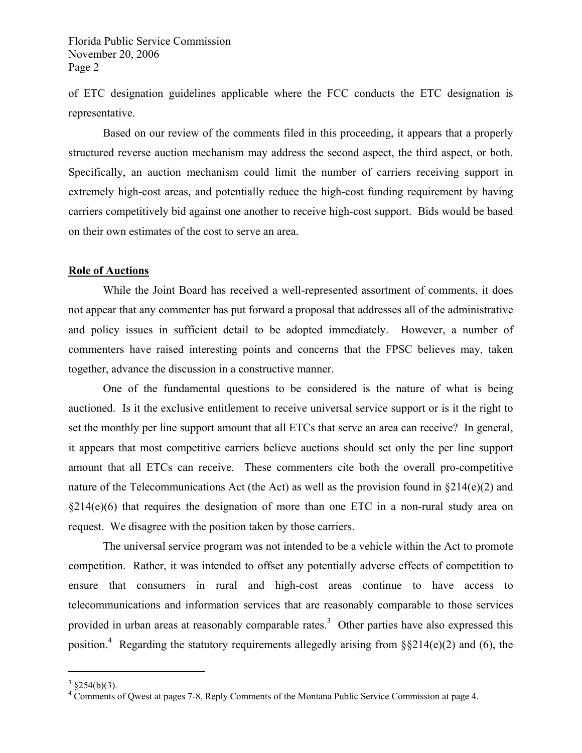of ETC designation guidelines applicable where the FCC conducts the ETC designation is representative.

 Based on our review of the comments filed in this proceeding, it appears that a properly structured reverse auction mechanism may address the second aspect, the third aspect, or both. Specifically, an auction mechanism could limit the number of carriers receiving support in extremely high-cost areas, and potentially reduce the high-cost funding requirement by having carriers competitively bid against one another to receive high-cost support. Bids would be based on their own estimates of the cost to serve an area.

#### **Role of Auctions**

 While the Joint Board has received a well-represented assortment of comments, it does not appear that any commenter has put forward a proposal that addresses all of the administrative and policy issues in sufficient detail to be adopted immediately. However, a number of commenters have raised interesting points and concerns that the FPSC believes may, taken together, advance the discussion in a constructive manner.

 One of the fundamental questions to be considered is the nature of what is being auctioned. Is it the exclusive entitlement to receive universal service support or is it the right to set the monthly per line support amount that all ETCs that serve an area can receive? In general, it appears that most competitive carriers believe auctions should set only the per line support amount that all ETCs can receive. These commenters cite both the overall pro-competitive nature of the Telecommunications Act (the Act) as well as the provision found in  $\S214(e)(2)$  and  $§214(e)(6)$  that requires the designation of more than one ETC in a non-rural study area on request. We disagree with the position taken by those carriers.

 The universal service program was not intended to be a vehicle within the Act to promote competition. Rather, it was intended to offset any potentially adverse effects of competition to ensure that consumers in rural and high-cost areas continue to have access to telecommunications and information services that are reasonably comparable to those services provided in urban areas at reasonably comparable rates.<sup>3</sup> Other parties have also expressed this position.<sup>4</sup> Regarding the statutory requirements allegedly arising from  $\S$ \$214(e)(2) and (6), the

1

 $3 \text{ } \frac{\text{ }3254(b)(3)}{3}$ .

<sup>&</sup>lt;sup>4</sup> Comments of Qwest at pages 7-8, Reply Comments of the Montana Public Service Commission at page 4.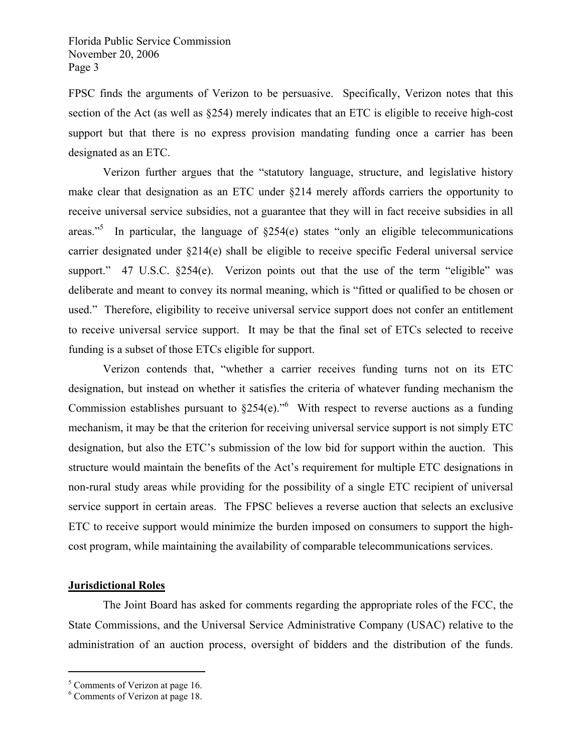FPSC finds the arguments of Verizon to be persuasive. Specifically, Verizon notes that this section of the Act (as well as §254) merely indicates that an ETC is eligible to receive high-cost support but that there is no express provision mandating funding once a carrier has been designated as an ETC.

 Verizon further argues that the "statutory language, structure, and legislative history make clear that designation as an ETC under §214 merely affords carriers the opportunity to receive universal service subsidies, not a guarantee that they will in fact receive subsidies in all areas."<sup>5</sup> In particular, the language of  $\S254(e)$  states "only an eligible telecommunications" carrier designated under §214(e) shall be eligible to receive specific Federal universal service support."  $47 \text{ U.S.C. } $254(e)$ . Verizon points out that the use of the term "eligible" was deliberate and meant to convey its normal meaning, which is "fitted or qualified to be chosen or used." Therefore, eligibility to receive universal service support does not confer an entitlement to receive universal service support. It may be that the final set of ETCs selected to receive funding is a subset of those ETCs eligible for support.

 Verizon contends that, "whether a carrier receives funding turns not on its ETC designation, but instead on whether it satisfies the criteria of whatever funding mechanism the Commission establishes pursuant to  $\S254(e)$ ."<sup>6</sup> With respect to reverse auctions as a funding mechanism, it may be that the criterion for receiving universal service support is not simply ETC designation, but also the ETC's submission of the low bid for support within the auction. This structure would maintain the benefits of the Act's requirement for multiple ETC designations in non-rural study areas while providing for the possibility of a single ETC recipient of universal service support in certain areas. The FPSC believes a reverse auction that selects an exclusive ETC to receive support would minimize the burden imposed on consumers to support the highcost program, while maintaining the availability of comparable telecommunications services.

#### **Jurisdictional Roles**

 $\overline{a}$ 

 The Joint Board has asked for comments regarding the appropriate roles of the FCC, the State Commissions, and the Universal Service Administrative Company (USAC) relative to the administration of an auction process, oversight of bidders and the distribution of the funds.

<sup>&</sup>lt;sup>5</sup> Comments of Verizon at page 16.

<sup>6</sup> Comments of Verizon at page 18.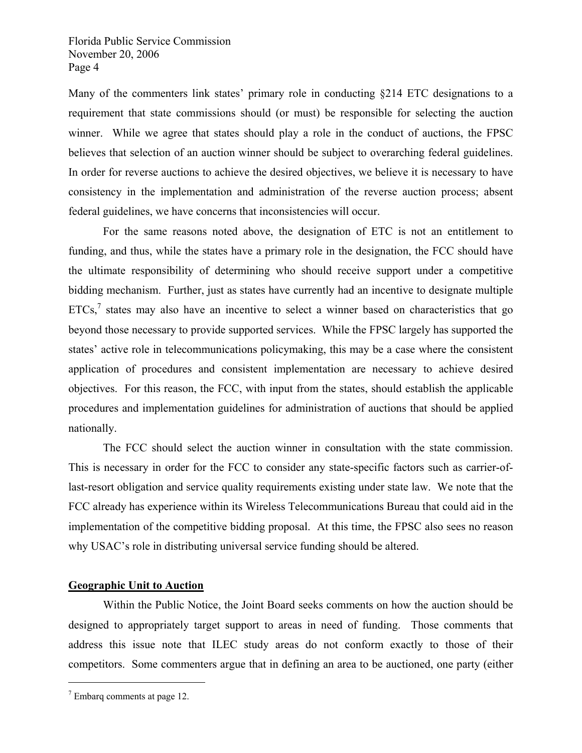Many of the commenters link states' primary role in conducting §214 ETC designations to a requirement that state commissions should (or must) be responsible for selecting the auction winner. While we agree that states should play a role in the conduct of auctions, the FPSC believes that selection of an auction winner should be subject to overarching federal guidelines. In order for reverse auctions to achieve the desired objectives, we believe it is necessary to have consistency in the implementation and administration of the reverse auction process; absent federal guidelines, we have concerns that inconsistencies will occur.

 For the same reasons noted above, the designation of ETC is not an entitlement to funding, and thus, while the states have a primary role in the designation, the FCC should have the ultimate responsibility of determining who should receive support under a competitive bidding mechanism. Further, just as states have currently had an incentive to designate multiple  $ETCs$ , states may also have an incentive to select a winner based on characteristics that go beyond those necessary to provide supported services. While the FPSC largely has supported the states' active role in telecommunications policymaking, this may be a case where the consistent application of procedures and consistent implementation are necessary to achieve desired objectives. For this reason, the FCC, with input from the states, should establish the applicable procedures and implementation guidelines for administration of auctions that should be applied nationally.

 The FCC should select the auction winner in consultation with the state commission. This is necessary in order for the FCC to consider any state-specific factors such as carrier-oflast-resort obligation and service quality requirements existing under state law. We note that the FCC already has experience within its Wireless Telecommunications Bureau that could aid in the implementation of the competitive bidding proposal. At this time, the FPSC also sees no reason why USAC's role in distributing universal service funding should be altered.

#### **Geographic Unit to Auction**

 Within the Public Notice, the Joint Board seeks comments on how the auction should be designed to appropriately target support to areas in need of funding. Those comments that address this issue note that ILEC study areas do not conform exactly to those of their competitors. Some commenters argue that in defining an area to be auctioned, one party (either

 $\overline{a}$ 

 $7$  Embarq comments at page 12.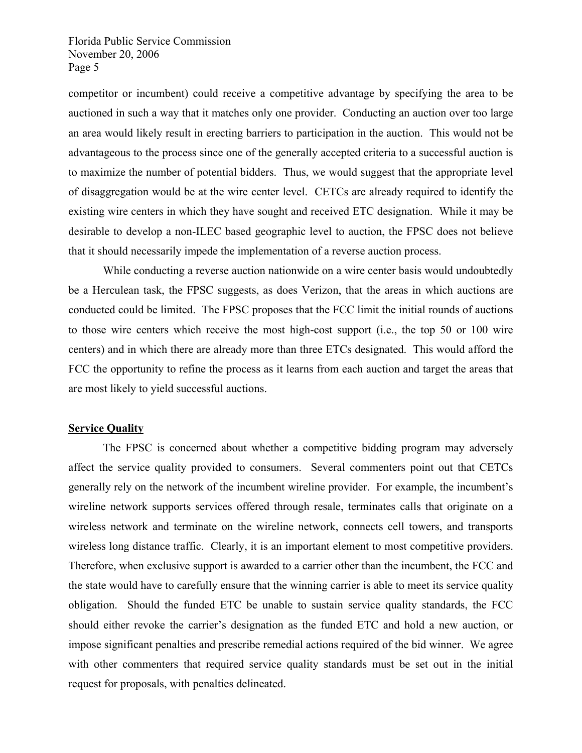competitor or incumbent) could receive a competitive advantage by specifying the area to be auctioned in such a way that it matches only one provider. Conducting an auction over too large an area would likely result in erecting barriers to participation in the auction. This would not be advantageous to the process since one of the generally accepted criteria to a successful auction is to maximize the number of potential bidders. Thus, we would suggest that the appropriate level of disaggregation would be at the wire center level. CETCs are already required to identify the existing wire centers in which they have sought and received ETC designation. While it may be desirable to develop a non-ILEC based geographic level to auction, the FPSC does not believe that it should necessarily impede the implementation of a reverse auction process.

 While conducting a reverse auction nationwide on a wire center basis would undoubtedly be a Herculean task, the FPSC suggests, as does Verizon, that the areas in which auctions are conducted could be limited. The FPSC proposes that the FCC limit the initial rounds of auctions to those wire centers which receive the most high-cost support (i.e., the top 50 or 100 wire centers) and in which there are already more than three ETCs designated. This would afford the FCC the opportunity to refine the process as it learns from each auction and target the areas that are most likely to yield successful auctions.

#### **Service Quality**

 The FPSC is concerned about whether a competitive bidding program may adversely affect the service quality provided to consumers. Several commenters point out that CETCs generally rely on the network of the incumbent wireline provider. For example, the incumbent's wireline network supports services offered through resale, terminates calls that originate on a wireless network and terminate on the wireline network, connects cell towers, and transports wireless long distance traffic. Clearly, it is an important element to most competitive providers. Therefore, when exclusive support is awarded to a carrier other than the incumbent, the FCC and the state would have to carefully ensure that the winning carrier is able to meet its service quality obligation. Should the funded ETC be unable to sustain service quality standards, the FCC should either revoke the carrier's designation as the funded ETC and hold a new auction, or impose significant penalties and prescribe remedial actions required of the bid winner. We agree with other commenters that required service quality standards must be set out in the initial request for proposals, with penalties delineated.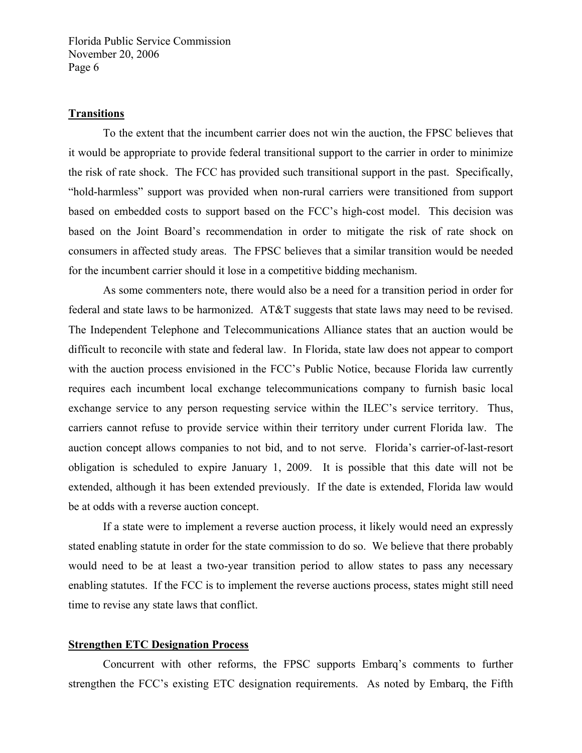#### **Transitions**

 To the extent that the incumbent carrier does not win the auction, the FPSC believes that it would be appropriate to provide federal transitional support to the carrier in order to minimize the risk of rate shock. The FCC has provided such transitional support in the past. Specifically, "hold-harmless" support was provided when non-rural carriers were transitioned from support based on embedded costs to support based on the FCC's high-cost model. This decision was based on the Joint Board's recommendation in order to mitigate the risk of rate shock on consumers in affected study areas. The FPSC believes that a similar transition would be needed for the incumbent carrier should it lose in a competitive bidding mechanism.

 As some commenters note, there would also be a need for a transition period in order for federal and state laws to be harmonized. AT&T suggests that state laws may need to be revised. The Independent Telephone and Telecommunications Alliance states that an auction would be difficult to reconcile with state and federal law. In Florida, state law does not appear to comport with the auction process envisioned in the FCC's Public Notice, because Florida law currently requires each incumbent local exchange telecommunications company to furnish basic local exchange service to any person requesting service within the ILEC's service territory. Thus, carriers cannot refuse to provide service within their territory under current Florida law. The auction concept allows companies to not bid, and to not serve. Florida's carrier-of-last-resort obligation is scheduled to expire January 1, 2009. It is possible that this date will not be extended, although it has been extended previously. If the date is extended, Florida law would be at odds with a reverse auction concept.

 If a state were to implement a reverse auction process, it likely would need an expressly stated enabling statute in order for the state commission to do so. We believe that there probably would need to be at least a two-year transition period to allow states to pass any necessary enabling statutes. If the FCC is to implement the reverse auctions process, states might still need time to revise any state laws that conflict.

#### **Strengthen ETC Designation Process**

 Concurrent with other reforms, the FPSC supports Embarq's comments to further strengthen the FCC's existing ETC designation requirements. As noted by Embarq, the Fifth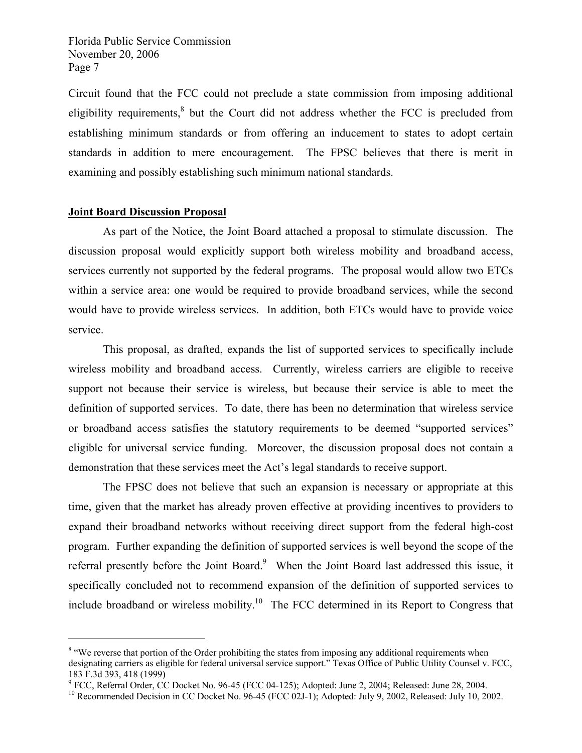Circuit found that the FCC could not preclude a state commission from imposing additional eligibility requirements, $8$  but the Court did not address whether the FCC is precluded from establishing minimum standards or from offering an inducement to states to adopt certain standards in addition to mere encouragement. The FPSC believes that there is merit in examining and possibly establishing such minimum national standards.

#### **Joint Board Discussion Proposal**

 $\overline{a}$ 

 As part of the Notice, the Joint Board attached a proposal to stimulate discussion. The discussion proposal would explicitly support both wireless mobility and broadband access, services currently not supported by the federal programs. The proposal would allow two ETCs within a service area: one would be required to provide broadband services, while the second would have to provide wireless services. In addition, both ETCs would have to provide voice service.

 This proposal, as drafted, expands the list of supported services to specifically include wireless mobility and broadband access. Currently, wireless carriers are eligible to receive support not because their service is wireless, but because their service is able to meet the definition of supported services. To date, there has been no determination that wireless service or broadband access satisfies the statutory requirements to be deemed "supported services" eligible for universal service funding. Moreover, the discussion proposal does not contain a demonstration that these services meet the Act's legal standards to receive support.

 The FPSC does not believe that such an expansion is necessary or appropriate at this time, given that the market has already proven effective at providing incentives to providers to expand their broadband networks without receiving direct support from the federal high-cost program. Further expanding the definition of supported services is well beyond the scope of the referral presently before the Joint Board.<sup>9</sup> When the Joint Board last addressed this issue, it specifically concluded not to recommend expansion of the definition of supported services to include broadband or wireless mobility.<sup>10</sup> The FCC determined in its Report to Congress that

<sup>&</sup>lt;sup>8</sup> "We reverse that portion of the Order prohibiting the states from imposing any additional requirements when designating carriers as eligible for federal universal service support." Texas Office of Public Utility Counsel v. FCC, 183 F.3d 393, 418 (1999)

<sup>&</sup>lt;sup>9</sup> FCC, Referral Order, CC Docket No. 96-45 (FCC 04-125); Adopted: June 2, 2004; Released: June 28, 2004.

<sup>&</sup>lt;sup>10</sup> Recommended Decision in CC Docket No. 96-45 (FCC 02J-1); Adopted: July 9, 2002, Released: July 10, 2002.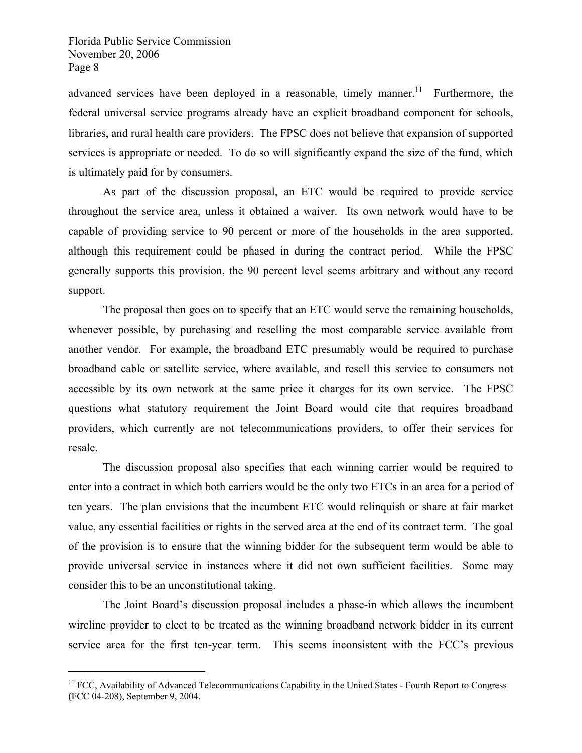$\overline{a}$ 

advanced services have been deployed in a reasonable, timely manner.<sup>11</sup> Furthermore, the federal universal service programs already have an explicit broadband component for schools, libraries, and rural health care providers. The FPSC does not believe that expansion of supported services is appropriate or needed. To do so will significantly expand the size of the fund, which is ultimately paid for by consumers.

 As part of the discussion proposal, an ETC would be required to provide service throughout the service area, unless it obtained a waiver. Its own network would have to be capable of providing service to 90 percent or more of the households in the area supported, although this requirement could be phased in during the contract period. While the FPSC generally supports this provision, the 90 percent level seems arbitrary and without any record support.

 The proposal then goes on to specify that an ETC would serve the remaining households, whenever possible, by purchasing and reselling the most comparable service available from another vendor. For example, the broadband ETC presumably would be required to purchase broadband cable or satellite service, where available, and resell this service to consumers not accessible by its own network at the same price it charges for its own service. The FPSC questions what statutory requirement the Joint Board would cite that requires broadband providers, which currently are not telecommunications providers, to offer their services for resale.

 The discussion proposal also specifies that each winning carrier would be required to enter into a contract in which both carriers would be the only two ETCs in an area for a period of ten years. The plan envisions that the incumbent ETC would relinquish or share at fair market value, any essential facilities or rights in the served area at the end of its contract term. The goal of the provision is to ensure that the winning bidder for the subsequent term would be able to provide universal service in instances where it did not own sufficient facilities. Some may consider this to be an unconstitutional taking.

 The Joint Board's discussion proposal includes a phase-in which allows the incumbent wireline provider to elect to be treated as the winning broadband network bidder in its current service area for the first ten-year term. This seems inconsistent with the FCC's previous

<sup>&</sup>lt;sup>11</sup> FCC, Availability of Advanced Telecommunications Capability in the United States - Fourth Report to Congress (FCC 04-208), September 9, 2004.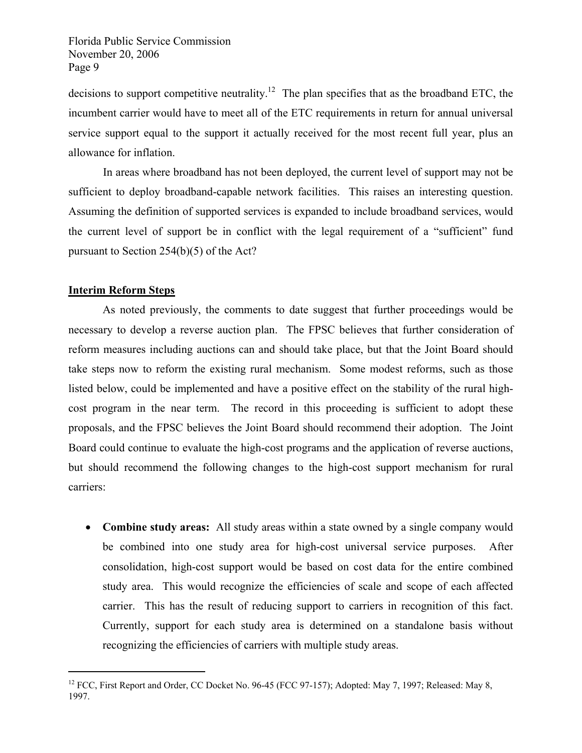decisions to support competitive neutrality.<sup>12</sup> The plan specifies that as the broadband ETC, the incumbent carrier would have to meet all of the ETC requirements in return for annual universal service support equal to the support it actually received for the most recent full year, plus an allowance for inflation.

 In areas where broadband has not been deployed, the current level of support may not be sufficient to deploy broadband-capable network facilities. This raises an interesting question. Assuming the definition of supported services is expanded to include broadband services, would the current level of support be in conflict with the legal requirement of a "sufficient" fund pursuant to Section 254(b)(5) of the Act?

#### **Interim Reform Steps**

 $\overline{a}$ 

 As noted previously, the comments to date suggest that further proceedings would be necessary to develop a reverse auction plan. The FPSC believes that further consideration of reform measures including auctions can and should take place, but that the Joint Board should take steps now to reform the existing rural mechanism. Some modest reforms, such as those listed below, could be implemented and have a positive effect on the stability of the rural highcost program in the near term. The record in this proceeding is sufficient to adopt these proposals, and the FPSC believes the Joint Board should recommend their adoption. The Joint Board could continue to evaluate the high-cost programs and the application of reverse auctions, but should recommend the following changes to the high-cost support mechanism for rural carriers:

• **Combine study areas:** All study areas within a state owned by a single company would be combined into one study area for high-cost universal service purposes. After consolidation, high-cost support would be based on cost data for the entire combined study area. This would recognize the efficiencies of scale and scope of each affected carrier. This has the result of reducing support to carriers in recognition of this fact. Currently, support for each study area is determined on a standalone basis without recognizing the efficiencies of carriers with multiple study areas.

<sup>&</sup>lt;sup>12</sup> FCC, First Report and Order, CC Docket No. 96-45 (FCC 97-157); Adopted: May 7, 1997; Released: May 8, 1997.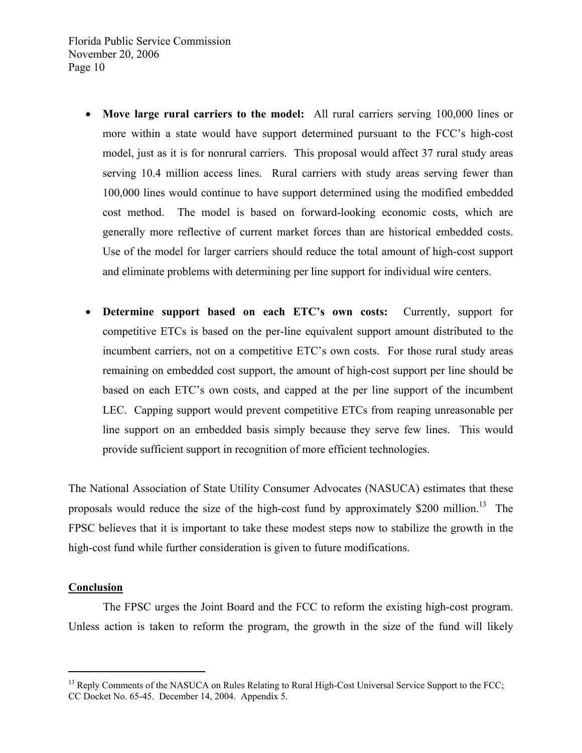- **Move large rural carriers to the model:** All rural carriers serving 100,000 lines or more within a state would have support determined pursuant to the FCC's high-cost model, just as it is for nonrural carriers. This proposal would affect 37 rural study areas serving 10.4 million access lines. Rural carriers with study areas serving fewer than 100,000 lines would continue to have support determined using the modified embedded cost method. The model is based on forward-looking economic costs, which are generally more reflective of current market forces than are historical embedded costs. Use of the model for larger carriers should reduce the total amount of high-cost support and eliminate problems with determining per line support for individual wire centers.
- **Determine support based on each ETC's own costs:** Currently, support for competitive ETCs is based on the per-line equivalent support amount distributed to the incumbent carriers, not on a competitive ETC's own costs. For those rural study areas remaining on embedded cost support, the amount of high-cost support per line should be based on each ETC's own costs, and capped at the per line support of the incumbent LEC. Capping support would prevent competitive ETCs from reaping unreasonable per line support on an embedded basis simply because they serve few lines. This would provide sufficient support in recognition of more efficient technologies.

The National Association of State Utility Consumer Advocates (NASUCA) estimates that these proposals would reduce the size of the high-cost fund by approximately  $$200$  million.<sup>13</sup> The FPSC believes that it is important to take these modest steps now to stabilize the growth in the high-cost fund while further consideration is given to future modifications.

#### **Conclusion**

 $\overline{a}$ 

 The FPSC urges the Joint Board and the FCC to reform the existing high-cost program. Unless action is taken to reform the program, the growth in the size of the fund will likely

<sup>&</sup>lt;sup>13</sup> Reply Comments of the NASUCA on Rules Relating to Rural High-Cost Universal Service Support to the FCC; CC Docket No. 65-45. December 14, 2004. Appendix 5.